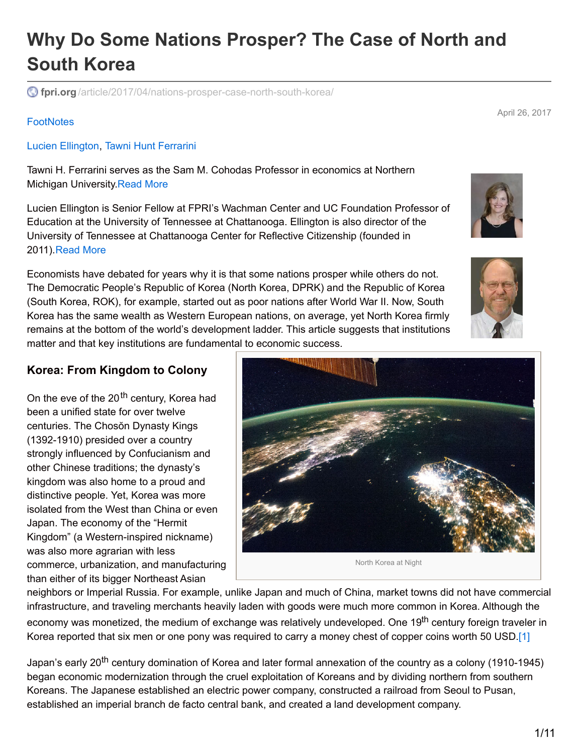# **Why Do Some Nations Prosper? The Case of North and South Korea**

**fpri.org** [/article/2017/04/nations-prosper-case-north-south-korea/](http://www.fpri.org/article/2017/04/nations-prosper-case-north-south-korea/)

#### **[FootNotes](http://www.fpri.org/publications/footnotes)**

Lucien [Ellington](http://www.fpri.org/contributor/lucien-ellington/), Tawni Hunt [Ferrarini](http://www.fpri.org/contributor/tawni-hunt-ferrarini/)

Tawni H. Ferrarini serves as the Sam M. Cohodas Professor in economics at Northern Michigan University[.Read](http://www.fpri.org/contributor/tawni-hunt-ferrarini/) More

Lucien Ellington is Senior Fellow at FPRI's Wachman Center and UC Foundation Professor of Education at the University of Tennessee at Chattanooga. Ellington is also director of the University of Tennessee at Chattanooga Center for Reflective Citizenship (founded in 2011). [Read](http://www.fpri.org/contributor/lucien-ellington/) More

Economists have debated for years why it is that some nations prosper while others do not. The Democratic People's Republic of Korea (North Korea, DPRK) and the Republic of Korea (South Korea, ROK), for example, started out as poor nations after World War II. Now, South Korea has the same wealth as Western European nations, on average, yet North Korea firmly remains at the bottom of the world's development ladder. This article suggests that institutions matter and that key institutions are fundamental to economic success.

#### **Korea: From Kingdom to Colony**

On the eve of the 20<sup>th</sup> century, Korea had been a unified state for over twelve centuries. The Chosŏn Dynasty Kings (1392-1910) presided over a country strongly influenced by Confucianism and other Chinese traditions; the dynasty's kingdom was also home to a proud and distinctive people. Yet, Korea was more isolated from the West than China or even Japan. The economy of the "Hermit Kingdom" (a Western-inspired nickname) was also more agrarian with less commerce, urbanization, and manufacturing than either of its bigger Northeast Asian

neighbors or Imperial Russia. For example, unlike Japan and much of China, market towns did not have commercial infrastructure, and traveling merchants heavily laden with goods were much more common in Korea. Although the economy was monetized, the medium of exchange was relatively undeveloped. One 19<sup>th</sup> century foreign traveler in Korea reported that six men or one pony was required to carry a money chest of copper coins worth 50 USD.[\[1\]](#page-8-0)

Japan's early 20<sup>th</sup> century domination of Korea and later formal annexation of the country as a colony (1910-1945) began economic modernization through the cruel exploitation of Koreans and by dividing northern from southern Koreans. The Japanese established an electric power company, constructed a railroad from Seoul to Pusan, established an imperial branch de facto central bank, and created a land development company.







April 26, 2017

<span id="page-0-0"></span>North Korea at Night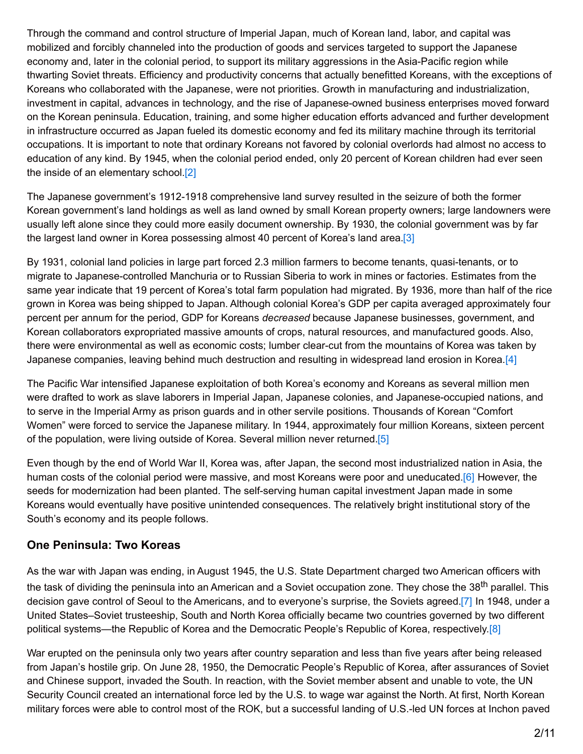Through the command and control structure of Imperial Japan, much of Korean land, labor, and capital was mobilized and forcibly channeled into the production of goods and services targeted to support the Japanese economy and, later in the colonial period, to support its military aggressions in the Asia-Pacific region while thwarting Soviet threats. Efficiency and productivity concerns that actually benefitted Koreans, with the exceptions of Koreans who collaborated with the Japanese, were not priorities. Growth in manufacturing and industrialization, investment in capital, advances in technology, and the rise of Japanese-owned business enterprises moved forward on the Korean peninsula. Education, training, and some higher education efforts advanced and further development in infrastructure occurred as Japan fueled its domestic economy and fed its military machine through its territorial occupations. It is important to note that ordinary Koreans not favored by colonial overlords had almost no access to education of any kind. By 1945, when the colonial period ended, only 20 percent of Korean children had ever seen the inside of an elementary school.<sup>[2]</sup>

<span id="page-1-0"></span>The Japanese government's 1912-1918 comprehensive land survey resulted in the seizure of both the former Korean government's land holdings as well as land owned by small Korean property owners; large landowners were usually left alone since they could more easily document ownership. By 1930, the colonial government was by far the largest land owner in Korea possessing almost 40 percent of Korea's land area[.\[3\]](#page-8-2)

<span id="page-1-1"></span>By 1931, colonial land policies in large part forced 2.3 million farmers to become tenants, quasi-tenants, or to migrate to Japanese-controlled Manchuria or to Russian Siberia to work in mines or factories. Estimates from the same year indicate that 19 percent of Korea's total farm population had migrated. By 1936, more than half of the rice grown in Korea was being shipped to Japan. Although colonial Korea's GDP per capita averaged approximately four percent per annum for the period, GDP for Koreans *decreased* because Japanese businesses, government, and Korean collaborators expropriated massive amounts of crops, natural resources, and manufactured goods. Also, there were environmental as well as economic costs; lumber clear-cut from the mountains of Korea was taken by Japanese companies, leaving behind much destruction and resulting in widespread land erosion in Korea[.\[4\]](#page-8-3)

<span id="page-1-2"></span>The Pacific War intensified Japanese exploitation of both Korea's economy and Koreans as several million men were drafted to work as slave laborers in Imperial Japan, Japanese colonies, and Japanese-occupied nations, and to serve in the Imperial Army as prison guards and in other servile positions. Thousands of Korean "Comfort Women" were forced to service the Japanese military. In 1944, approximately four million Koreans, sixteen percent of the population, were living outside of Korea. Several million never returned[.\[5\]](#page-8-4)

<span id="page-1-4"></span><span id="page-1-3"></span>Even though by the end of World War II, Korea was, after Japan, the second most industrialized nation in Asia, the human costs of the colonial period were massive, and most Koreans were poor and uneducated[.\[6\]](#page-8-5) However, the seeds for modernization had been planted. The self-serving human capital investment Japan made in some Koreans would eventually have positive unintended consequences. The relatively bright institutional story of the South's economy and its people follows.

#### **One Peninsula: Two Koreas**

<span id="page-1-5"></span>As the war with Japan was ending, in August 1945, the U.S. State Department charged two American officers with the task of dividing the peninsula into an American and a Soviet occupation zone. They chose the 38<sup>th</sup> parallel. This decision gave control of Seoul to the Americans, and to everyone's surprise, the Soviets agreed[.\[7\]](#page-8-6) In 1948, under a United States–Soviet trusteeship, South and North Korea officially became two countries governed by two different political systems—the Republic of Korea and the Democratic People's Republic of Korea, respectively.<sup>[\[8\]](#page-8-7)</sup>

<span id="page-1-6"></span>War erupted on the peninsula only two years after country separation and less than five years after being released from Japan's hostile grip. On June 28, 1950, the Democratic People's Republic of Korea, after assurances of Soviet and Chinese support, invaded the South. In reaction, with the Soviet member absent and unable to vote, the UN Security Council created an international force led by the U.S. to wage war against the North. At first, North Korean military forces were able to control most of the ROK, but a successful landing of U.S.-led UN forces at Inchon paved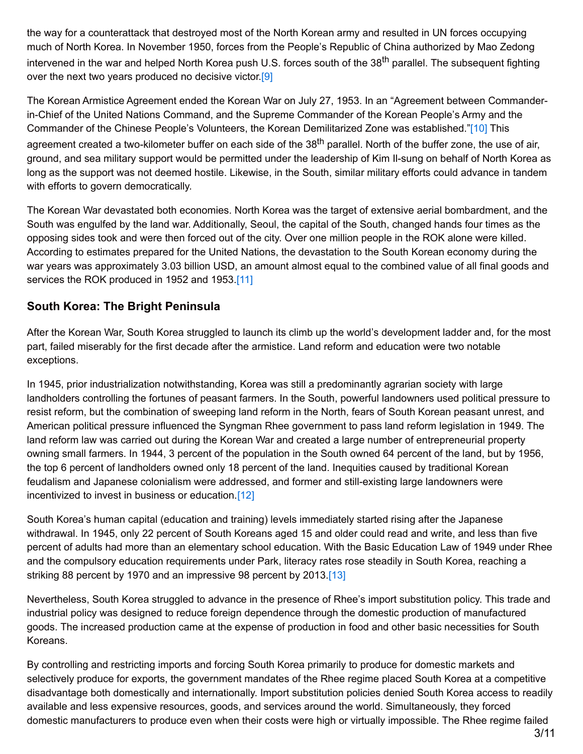the way for a counterattack that destroyed most of the North Korean army and resulted in UN forces occupying much of North Korea. In November 1950, forces from the People's Republic of China authorized by Mao Zedong intervened in the war and helped North Korea push U.S. forces south of the 38<sup>th</sup> parallel. The subsequent fighting over the next two years produced no decisive victor [9]

<span id="page-2-1"></span><span id="page-2-0"></span>The Korean Armistice Agreement ended the Korean War on July 27, 1953. In an "Agreement between Commanderin-Chief of the United Nations Command, and the Supreme Commander of the Korean People's Army and the Commander of the Chinese People's Volunteers, the Korean Demilitarized Zone was established.["\[10\]](#page-8-9) This agreement created a two-kilometer buffer on each side of the 38<sup>th</sup> parallel. North of the buffer zone, the use of air, ground, and sea military support would be permitted under the leadership of Kim Il-sung on behalf of North Korea as long as the support was not deemed hostile. Likewise, in the South, similar military efforts could advance in tandem with efforts to govern democratically.

The Korean War devastated both economies. North Korea was the target of extensive aerial bombardment, and the South was engulfed by the land war. Additionally, Seoul, the capital of the South, changed hands four times as the opposing sides took and were then forced out of the city. Over one million people in the ROK alone were killed. According to estimates prepared for the United Nations, the devastation to the South Korean economy during the war years was approximately 3.03 billion USD, an amount almost equal to the combined value of all final goods and services the ROK produced in 1952 and 1953[.\[11\]](#page-8-10)

## <span id="page-2-2"></span>**South Korea: The Bright Peninsula**

After the Korean War, South Korea struggled to launch its climb up the world's development ladder and, for the most part, failed miserably for the first decade after the armistice. Land reform and education were two notable exceptions.

In 1945, prior industrialization notwithstanding, Korea was still a predominantly agrarian society with large landholders controlling the fortunes of peasant farmers. In the South, powerful landowners used political pressure to resist reform, but the combination of sweeping land reform in the North, fears of South Korean peasant unrest, and American political pressure influenced the Syngman Rhee government to pass land reform legislation in 1949. The land reform law was carried out during the Korean War and created a large number of entrepreneurial property owning small farmers. In 1944, 3 percent of the population in the South owned 64 percent of the land, but by 1956, the top 6 percent of landholders owned only 18 percent of the land. Inequities caused by traditional Korean feudalism and Japanese colonialism were addressed, and former and still-existing large landowners were incentivized to invest in business or education[.\[12\]](#page-8-11)

<span id="page-2-3"></span>South Korea's human capital (education and training) levels immediately started rising after the Japanese withdrawal. In 1945, only 22 percent of South Koreans aged 15 and older could read and write, and less than five percent of adults had more than an elementary school education. With the Basic Education Law of 1949 under Rhee and the compulsory education requirements under Park, literacy rates rose steadily in South Korea, reaching a striking 88 percent by 1970 and an impressive 98 percent by 2013[.\[13\]](#page-8-12)

<span id="page-2-4"></span>Nevertheless, South Korea struggled to advance in the presence of Rhee's import substitution policy. This trade and industrial policy was designed to reduce foreign dependence through the domestic production of manufactured goods. The increased production came at the expense of production in food and other basic necessities for South Koreans.

By controlling and restricting imports and forcing South Korea primarily to produce for domestic markets and selectively produce for exports, the government mandates of the Rhee regime placed South Korea at a competitive disadvantage both domestically and internationally. Import substitution policies denied South Korea access to readily available and less expensive resources, goods, and services around the world. Simultaneously, they forced domestic manufacturers to produce even when their costs were high or virtually impossible. The Rhee regime failed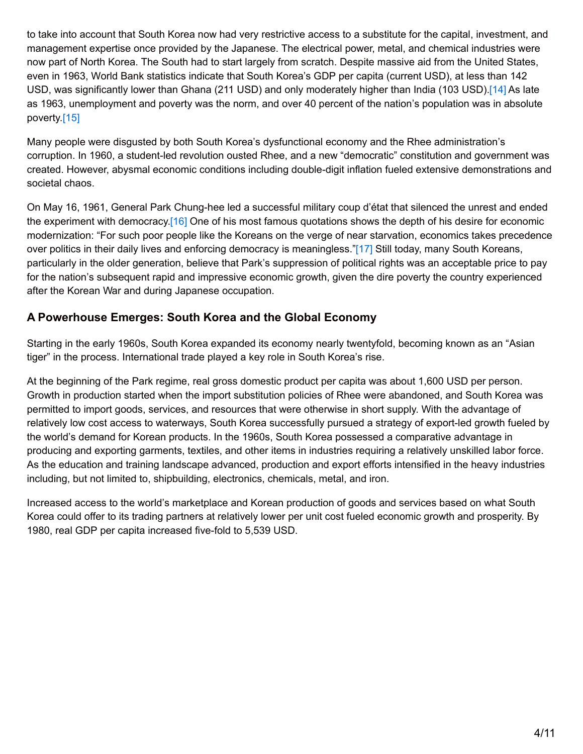to take into account that South Korea now had very restrictive access to a substitute for the capital, investment, and management expertise once provided by the Japanese. The electrical power, metal, and chemical industries were now part of North Korea. The South had to start largely from scratch. Despite massive aid from the United States, even in 1963, World Bank statistics indicate that South Korea's GDP per capita (current USD), at less than 142 USD, was significantly lower than Ghana (211 USD) and only moderately higher than India (103 USD)[.\[14\]](#page-8-13) As late as 1963, unemployment and poverty was the norm, and over 40 percent of the nation's population was in absolute poverty.[\[15\]](#page-8-14)

<span id="page-3-1"></span><span id="page-3-0"></span>Many people were disgusted by both South Korea's dysfunctional economy and the Rhee administration's corruption. In 1960, a student-led revolution ousted Rhee, and a new "democratic" constitution and government was created. However, abysmal economic conditions including double-digit inflation fueled extensive demonstrations and societal chaos.

<span id="page-3-3"></span><span id="page-3-2"></span>On May 16, 1961, General Park Chung-hee led a successful military coup d'état that silenced the unrest and ended the experiment with democracy[.\[16\]](#page-9-0) One of his most famous quotations shows the depth of his desire for economic modernization: "For such poor people like the Koreans on the verge of near starvation, economics takes precedence over politics in their daily lives and enforcing democracy is meaningless.["\[17\]](#page-9-1) Still today, many South Koreans, particularly in the older generation, believe that Park's suppression of political rights was an acceptable price to pay for the nation's subsequent rapid and impressive economic growth, given the dire poverty the country experienced after the Korean War and during Japanese occupation.

## **A Powerhouse Emerges: South Korea and the Global Economy**

Starting in the early 1960s, South Korea expanded its economy nearly twentyfold, becoming known as an "Asian tiger" in the process. International trade played a key role in South Korea's rise.

At the beginning of the Park regime, real gross domestic product per capita was about 1,600 USD per person. Growth in production started when the import substitution policies of Rhee were abandoned, and South Korea was permitted to import goods, services, and resources that were otherwise in short supply. With the advantage of relatively low cost access to waterways, South Korea successfully pursued a strategy of export-led growth fueled by the world's demand for Korean products. In the 1960s, South Korea possessed a comparative advantage in producing and exporting garments, textiles, and other items in industries requiring a relatively unskilled labor force. As the education and training landscape advanced, production and export efforts intensified in the heavy industries including, but not limited to, shipbuilding, electronics, chemicals, metal, and iron.

Increased access to the world's marketplace and Korean production of goods and services based on what South Korea could offer to its trading partners at relatively lower per unit cost fueled economic growth and prosperity. By 1980, real GDP per capita increased five-fold to 5,539 USD.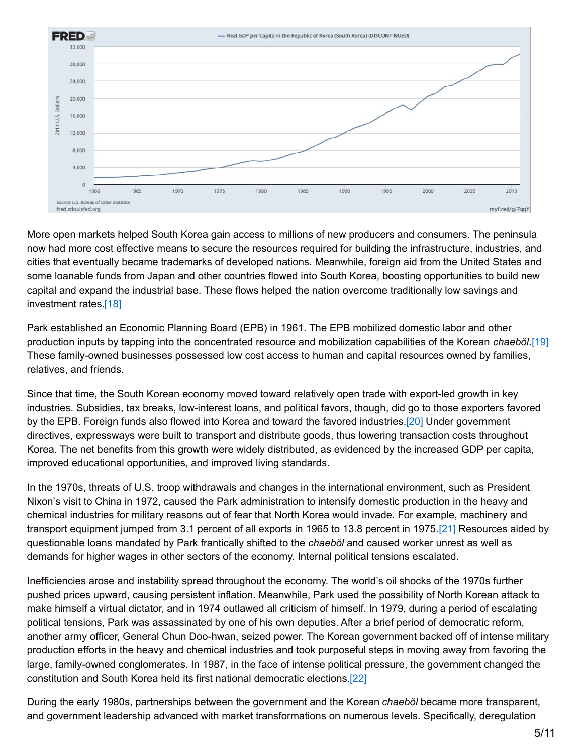

More open markets helped South Korea gain access to millions of new producers and consumers. The peninsula now had more cost effective means to secure the resources required for building the infrastructure, industries, and cities that eventually became trademarks of developed nations. Meanwhile, foreign aid from the United States and some loanable funds from Japan and other countries flowed into South Korea, boosting opportunities to build new capital and expand the industrial base. These flows helped the nation overcome traditionally low savings and investment rates[.\[18\]](#page-9-2)

<span id="page-4-1"></span><span id="page-4-0"></span>Park established an Economic Planning Board (EPB) in 1961. The EPB mobilized domestic labor and other production inputs by tapping into the concentrated resource and mobilization capabilities of the Korean *chaebŏl*[.\[19\]](#page-9-3) These family-owned businesses possessed low cost access to human and capital resources owned by families, relatives, and friends.

<span id="page-4-2"></span>Since that time, the South Korean economy moved toward relatively open trade with export-led growth in key industries. Subsidies, tax breaks, low-interest loans, and political favors, though, did go to those exporters favored by the EPB. Foreign funds also flowed into Korea and toward the favored industries[.\[20\]](#page-9-4) Under government directives, expressways were built to transport and distribute goods, thus lowering transaction costs throughout Korea. The net benefits from this growth were widely distributed, as evidenced by the increased GDP per capita, improved educational opportunities, and improved living standards.

<span id="page-4-3"></span>In the 1970s, threats of U.S. troop withdrawals and changes in the international environment, such as President Nixon's visit to China in 1972, caused the Park administration to intensify domestic production in the heavy and chemical industries for military reasons out of fear that North Korea would invade. For example, machinery and transport equipment jumped from 3.1 percent of all exports in 1965 to 13.8 percent in 1975[.\[21\]](#page-9-5) Resources aided by questionable loans mandated by Park frantically shifted to the *chaebŏl* and caused worker unrest as well as demands for higher wages in other sectors of the economy. Internal political tensions escalated.

Inefficiencies arose and instability spread throughout the economy. The world's oil shocks of the 1970s further pushed prices upward, causing persistent inflation. Meanwhile, Park used the possibility of North Korean attack to make himself a virtual dictator, and in 1974 outlawed all criticism of himself. In 1979, during a period of escalating political tensions, Park was assassinated by one of his own deputies. After a brief period of democratic reform, another army officer, General Chun Doo-hwan, seized power. The Korean government backed off of intense military production efforts in the heavy and chemical industries and took purposeful steps in moving away from favoring the large, family-owned conglomerates. In 1987, in the face of intense political pressure, the government changed the constitution and South Korea held its first national democratic elections[.\[22\]](#page-9-6)

<span id="page-4-4"></span>During the early 1980s, partnerships between the government and the Korean *chaebŏl* became more transparent, and government leadership advanced with market transformations on numerous levels. Specifically, deregulation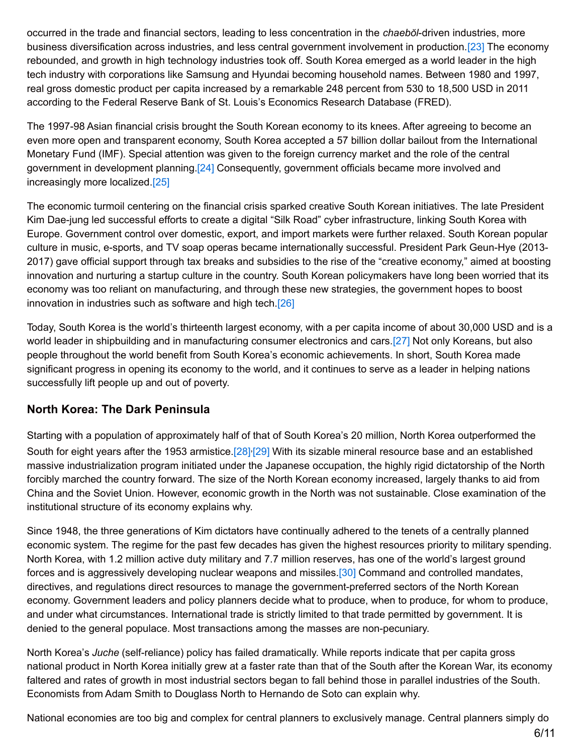<span id="page-5-0"></span>occurred in the trade and financial sectors, leading to less concentration in the *chaebŏl*-driven industries, more business diversification across industries, and less central government involvement in production.[\[23\]](#page-9-7) The economy rebounded, and growth in high technology industries took off. South Korea emerged as a world leader in the high tech industry with corporations like Samsung and Hyundai becoming household names. Between 1980 and 1997, real gross domestic product per capita increased by a remarkable 248 percent from 530 to 18,500 USD in 2011 according to the Federal Reserve Bank of St. Louis's Economics Research Database (FRED).

The 1997-98 Asian financial crisis brought the South Korean economy to its knees. After agreeing to become an even more open and transparent economy, South Korea accepted a 57 billion dollar bailout from the International Monetary Fund (IMF). Special attention was given to the foreign currency market and the role of the central government in development planning[.\[24\]](#page-9-8) Consequently, government officials became more involved and increasingly more localized[.\[25\]](#page-9-9)

<span id="page-5-2"></span><span id="page-5-1"></span>The economic turmoil centering on the financial crisis sparked creative South Korean initiatives. The late President Kim Dae-jung led successful efforts to create a digital "Silk Road" cyber infrastructure, linking South Korea with Europe. Government control over domestic, export, and import markets were further relaxed. South Korean popular culture in music, e-sports, and TV soap operas became internationally successful. President Park Geun-Hye (2013- 2017) gave official support through tax breaks and subsidies to the rise of the "creative economy," aimed at boosting innovation and nurturing a startup culture in the country. South Korean policymakers have long been worried that its economy was too reliant on manufacturing, and through these new strategies, the government hopes to boost innovation in industries such as software and high tech[.\[26\]](#page-9-10)

<span id="page-5-4"></span><span id="page-5-3"></span>Today, South Korea is the world's thirteenth largest economy, with a per capita income of about 30,000 USD and is a world leader in shipbuilding and in manufacturing consumer electronics and cars[.\[27\]](#page-9-11) Not only Koreans, but also people throughout the world benefit from South Korea's economic achievements. In short, South Korea made significant progress in opening its economy to the world, and it continues to serve as a leader in helping nations successfully lift people up and out of poverty.

#### **North Korea: The Dark Peninsula**

<span id="page-5-6"></span><span id="page-5-5"></span>Starting with a population of approximately half of that of South Korea's 20 million, North Korea outperformed the South for eight years after the 1953 armistice.<sup>[28]</sup><sup>[\[29\]](#page-9-13)</sup> With its sizable mineral resource base and an established massive industrialization program initiated under the Japanese occupation, the highly rigid dictatorship of the North forcibly marched the country forward. The size of the North Korean economy increased, largely thanks to aid from China and the Soviet Union. However, economic growth in the North was not sustainable. Close examination of the institutional structure of its economy explains why.

<span id="page-5-7"></span>Since 1948, the three generations of Kim dictators have continually adhered to the tenets of a centrally planned economic system. The regime for the past few decades has given the highest resources priority to military spending. North Korea, with 1.2 million active duty military and 7.7 million reserves, has one of the world's largest ground forces and is aggressively developing nuclear weapons and missiles.[\[30\]](#page-9-14) Command and controlled mandates, directives, and regulations direct resources to manage the government-preferred sectors of the North Korean economy. Government leaders and policy planners decide what to produce, when to produce, for whom to produce, and under what circumstances. International trade is strictly limited to that trade permitted by government. It is denied to the general populace. Most transactions among the masses are non-pecuniary.

North Korea's *Juche* (self-reliance) policy has failed dramatically. While reports indicate that per capita gross national product in North Korea initially grew at a faster rate than that of the South after the Korean War, its economy faltered and rates of growth in most industrial sectors began to fall behind those in parallel industries of the South. Economists from Adam Smith to Douglass North to Hernando de Soto can explain why.

National economies are too big and complex for central planners to exclusively manage. Central planners simply do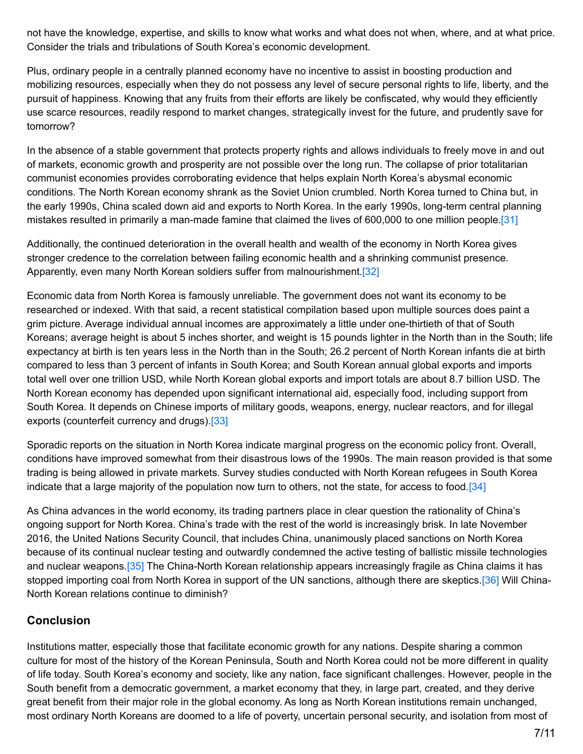not have the knowledge, expertise, and skills to know what works and what does not when, where, and at what price. Consider the trials and tribulations of South Korea's economic development.

Plus, ordinary people in a centrally planned economy have no incentive to assist in boosting production and mobilizing resources, especially when they do not possess any level of secure personal rights to life, liberty, and the pursuit of happiness. Knowing that any fruits from their efforts are likely be confiscated, why would they efficiently use scarce resources, readily respond to market changes, strategically invest for the future, and prudently save for tomorrow?

In the absence of a stable government that protects property rights and allows individuals to freely move in and out of markets, economic growth and prosperity are not possible over the long run. The collapse of prior totalitarian communist economies provides corroborating evidence that helps explain North Korea's abysmal economic conditions. The North Korean economy shrank as the Soviet Union crumbled. North Korea turned to China but, in the early 1990s, China scaled down aid and exports to North Korea. In the early 1990s, long-term central planning mistakes resulted in primarily a man-made famine that claimed the lives of 600,000 to one million people[.\[31\]](#page-9-15)

<span id="page-6-0"></span>Additionally, the continued deterioration in the overall health and wealth of the economy in North Korea gives stronger credence to the correlation between failing economic health and a shrinking communist presence. Apparently, even many North Korean soldiers suffer from malnourishment.<sup>[32]</sup>

<span id="page-6-1"></span>Economic data from North Korea is famously unreliable. The government does not want its economy to be researched or indexed. With that said, a recent statistical compilation based upon multiple sources does paint a grim picture. Average individual annual incomes are approximately a little under one-thirtieth of that of South Koreans; average height is about 5 inches shorter, and weight is 15 pounds lighter in the North than in the South; life expectancy at birth is ten years less in the North than in the South; 26.2 percent of North Korean infants die at birth compared to less than 3 percent of infants in South Korea; and South Korean annual global exports and imports total well over one trillion USD, while North Korean global exports and import totals are about 8.7 billion USD. The North Korean economy has depended upon significant international aid, especially food, including support from South Korea. It depends on Chinese imports of military goods, weapons, energy, nuclear reactors, and for illegal exports (counterfeit currency and drugs).<sup>[33]</sup>

<span id="page-6-2"></span>Sporadic reports on the situation in North Korea indicate marginal progress on the economic policy front. Overall, conditions have improved somewhat from their disastrous lows of the 1990s. The main reason provided is that some trading is being allowed in private markets. Survey studies conducted with North Korean refugees in South Korea indicate that a large majority of the population now turn to others, not the state, for access to food[.\[34\]](#page-10-0)

<span id="page-6-3"></span>As China advances in the world economy, its trading partners place in clear question the rationality of China's ongoing support for North Korea. China's trade with the rest of the world is increasingly brisk. In late November 2016, the United Nations Security Council, that includes China, unanimously placed sanctions on North Korea because of its continual nuclear testing and outwardly condemned the active testing of ballistic missile technologies and nuclear weapons.<sup>[35]</sup> The China-North Korean relationship appears increasingly fragile as China claims it has stopped importing coal from North Korea in support of the UN sanctions, although there are skeptics[.\[36\]](#page-10-2) Will China-North Korean relations continue to diminish?

# <span id="page-6-5"></span><span id="page-6-4"></span>**Conclusion**

Institutions matter, especially those that facilitate economic growth for any nations. Despite sharing a common culture for most of the history of the Korean Peninsula, South and North Korea could not be more different in quality of life today. South Korea's economy and society, like any nation, face significant challenges. However, people in the South benefit from a democratic government, a market economy that they, in large part, created, and they derive great benefit from their major role in the global economy. As long as North Korean institutions remain unchanged, most ordinary North Koreans are doomed to a life of poverty, uncertain personal security, and isolation from most of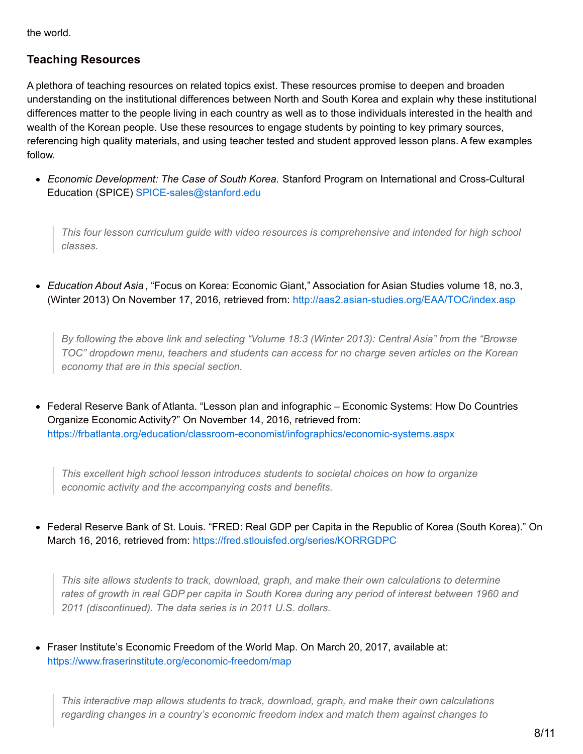the world.

#### **Teaching Resources**

A plethora of teaching resources on related topics exist. These resources promise to deepen and broaden understanding on the institutional differences between North and South Korea and explain why these institutional differences matter to the people living in each country as well as to those individuals interested in the health and wealth of the Korean people. Use these resources to engage students by pointing to key primary sources, referencing high quality materials, and using teacher tested and student approved lesson plans. A few examples follow.

*Economic Development: The Case of South Korea.* Stanford Program on International and Cross-Cultural Education (SPICE) [SPICE-sales@stanford.edu](mailto:SPICE-sales@stanford.edu)

*This four lesson curriculum guide with video resources is comprehensive and intended for high school classes.*

*Education About Asia* , "Focus on Korea: Economic Giant," Association for Asian Studies volume 18, no.3, (Winter 2013) On November 17, 2016, retrieved from: <http://aas2.asian-studies.org/EAA/TOC/index.asp>

*By following the above link and selecting "Volume 18:3 (Winter 2013): Central Asia" from the "Browse TOC" dropdown menu, teachers and students can access for no charge seven articles on the Korean economy that are in this special section.*

Federal Reserve Bank of Atlanta. "Lesson plan and infographic – Economic Systems: How Do Countries Organize Economic Activity?" On November 14, 2016, retrieved from: <https://frbatlanta.org/education/classroom-economist/infographics/economic-systems.aspx>

*This excellent high school lesson introduces students to societal choices on how to organize economic activity and the accompanying costs and benefits.*

Federal Reserve Bank of St. Louis. "FRED: Real GDP per Capita in the Republic of Korea (South Korea)." On March 16, 2016, retrieved from: <https://fred.stlouisfed.org/series/KORRGDPC>

*This site allows students to track, download, graph, and make their own calculations to determine* rates of growth in real GDP per capita in South Korea during any period of interest between 1960 and *2011 (discontinued). The data series is in 2011 U.S. dollars.*

Fraser Institute's Economic Freedom of the World Map. On March 20, 2017, available at: <https://www.fraserinstitute.org/economic-freedom/map>

*This interactive map allows students to track, download, graph, and make their own calculations regarding changes in a country's economic freedom index and match them against changes to*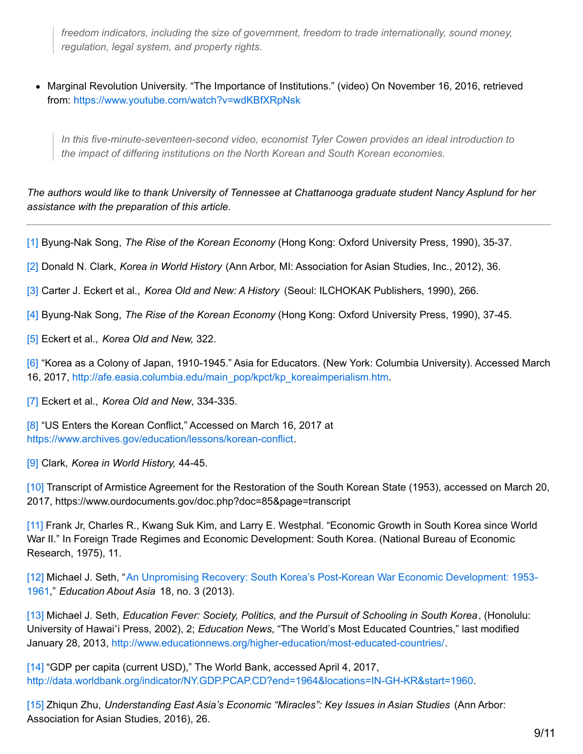*freedom indicators, including the size of government, freedom to trade internationally, sound money, regulation, legal system, and property rights.*

• Marginal Revolution University. "The Importance of Institutions." (video) On November 16, 2016, retrieved from: <https://www.youtube.com/watch?v=wdKBfXRpNsk>

*In this five-minute-seventeen-second video, economist Tyler Cowen provides an ideal introduction to the impact of differing institutions on the North Korean and South Korean economies.*

The authors would like to thank University of Tennessee at Chattanooga graduate student Nancy Asplund for her *assistance with the preparation of this article.*

<span id="page-8-0"></span>[\[1\]](#page-0-0) Byung-Nak Song, *The Rise of the Korean Economy* (Hong Kong: Oxford University Press, 1990), 35-37.

<span id="page-8-1"></span>[\[2\]](#page-1-0) Donald N. Clark, *Korea in World History* (Ann Arbor, MI: Association for Asian Studies, Inc., 2012), 36.

<span id="page-8-2"></span>[\[3\]](#page-1-1) Carter J. Eckert et al., *Korea Old and New: A History* (Seoul: ILCHOKAK Publishers, 1990), 266.

<span id="page-8-3"></span>[\[4\]](#page-1-2) Byung-Nak Song, *The Rise of the Korean Economy* (Hong Kong: Oxford University Press, 1990), 37-45.

<span id="page-8-4"></span>[\[5\]](#page-1-3) Eckert et al., *Korea Old and New,* 322.

<span id="page-8-5"></span>[\[6\]](#page-1-4) "Korea as a Colony of Japan, 1910-1945." Asia for Educators. (New York: Columbia University). Accessed March 16, 2017, [http://afe.easia.columbia.edu/main\\_pop/kpct/kp\\_koreaimperialism.htm](http://afe.easia.columbia.edu/main_pop/kpct/kp_koreaimperialism.htm).

<span id="page-8-6"></span>[\[7\]](#page-1-5) Eckert et al., *Korea Old and New*, 334-335.

<span id="page-8-7"></span>[\[8\]](#page-1-6) "US Enters the Korean Conflict," Accessed on March 16, 2017 at <https://www.archives.gov/education/lessons/korean-conflict>.

<span id="page-8-8"></span>[\[9\]](#page-2-0) Clark, *Korea in World History,* 44-45.

<span id="page-8-9"></span>[\[10\]](#page-2-1) Transcript of Armistice Agreement for the Restoration of the South Korean State (1953), accessed on March 20, 2017, https://www.ourdocuments.gov/doc.php?doc=85&page=transcript

<span id="page-8-10"></span>[\[11\]](#page-2-2) Frank Jr, Charles R., Kwang Suk Kim, and Larry E. Westphal. "Economic Growth in South Korea since World War II." In Foreign Trade Regimes and Economic Development: South Korea. (National Bureau of Economic Research, 1975), 11.

<span id="page-8-11"></span>[\[12\]](#page-2-3) Michael J. Seth, "An Unpromising Recovery: South Korea's Post-Korean War Economic [Development:](http://aas2.asian-studies.org/EAA/EAA-Archives/18/3/1139.pdf) 1953- 1961," *Education About Asia* 18, no. 3 (2013).

<span id="page-8-12"></span>[\[13\]](#page-2-4) Michael J. Seth, *Education Fever: Society, Politics, and the Pursuit of Schooling in South Korea*, (Honolulu: University of Hawaiʻi Press, 2002), 2; *Education News*, "The World's Most Educated Countries," last modified January 28, 2013, <http://www.educationnews.org/higher-education/most-educated-countries/>.

<span id="page-8-13"></span>[\[14\]](#page-3-0) "GDP per capita (current USD)," The World Bank, accessed April 4, 2017, <http://data.worldbank.org/indicator/NY.GDP.PCAP.CD?end=1964&locations=IN-GH-KR&start=1960>.

<span id="page-8-14"></span>[\[15\]](#page-3-1) Zhiqun Zhu, *Understanding East Asia's Economic "Miracles": Key Issues in Asian Studies* (Ann Arbor: Association for Asian Studies, 2016), 26.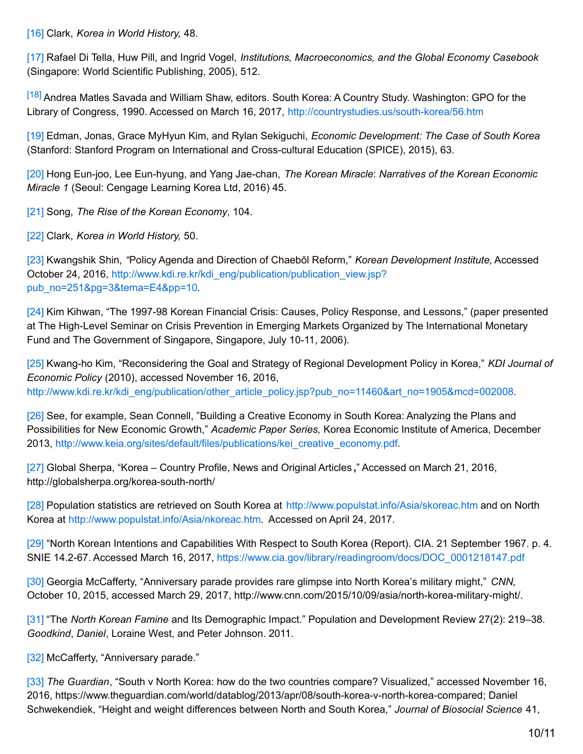<span id="page-9-0"></span>[\[16\]](#page-3-2) Clark, *Korea in World History,* 48.

<span id="page-9-1"></span>[\[17\]](#page-3-3) Rafael Di Tella, Huw Pill, and Ingrid Vogel, *Institutions, Macroeconomics, and the Global Economy Casebook* (Singapore: World Scientific Publishing, 2005), 512.

<span id="page-9-2"></span>[\[18\]](#page-4-0) Andrea Matles Savada and William Shaw, editors. South Korea: A Country Study. Washington: GPO for the Library of Congress, 1990. Accessed on March 16, 2017, <http://countrystudies.us/south-korea/56.htm>

<span id="page-9-3"></span>[\[19\]](#page-4-1) Edman, Jonas, Grace MyHyun Kim, and Rylan Sekiguchi, *Economic Development: The Case of South Korea* (Stanford: Stanford Program on International and Cross-cultural Education (SPICE), 2015), 63.

<span id="page-9-4"></span>[\[20\]](#page-4-2) Hong Eun-joo, Lee Eun-hyung, and Yang Jae-chan, *The Korean Miracle*: *Narratives of the Korean Economic Miracle 1* (Seoul: Cengage Learning Korea Ltd, 2016) 45.

<span id="page-9-5"></span>[\[21\]](#page-4-3) Song, *The Rise of the Korean Economy*, 104.

<span id="page-9-6"></span>[\[22\]](#page-4-4) Clark, *Korea in World History,* 50.

<span id="page-9-7"></span>[\[23\]](#page-5-0) Kwangshik Shin, *"*Policy Agenda and Direction of Chaebŏl Reform," *Korean Development Institute,* Accessed October 24, 2016, [http://www.kdi.re.kr/kdi\\_eng/publication/publication\\_view.jsp?](http://www.kdi.re.kr/kdi_eng/publication/publication_view.jsp?pub_no=251&pg=3&tema=E4&pp=10) pub\_no=251&pg=3&tema=E4&pp=10.

<span id="page-9-8"></span>[\[24\]](#page-5-1) Kim Kihwan, "The 1997-98 Korean Financial Crisis: Causes, Policy Response, and Lessons," (paper presented at The High-Level Seminar on Crisis Prevention in Emerging Markets Organized by The International Monetary Fund and The Government of Singapore, Singapore, July 10-11, 2006).

<span id="page-9-9"></span>[\[25\]](#page-5-2) Kwang-ho Kim, "Reconsidering the Goal and Strategy of Regional Development Policy in Korea," *KDI Journal of Economic Policy* (2010), accessed November 16, 2016, [http://www.kdi.re.kr/kdi\\_eng/publication/other\\_article\\_policy.jsp?pub\\_no=11460&art\\_no=1905&mcd=002008](http://www.kdi.re.kr/kdi_eng/publication/other_article_policy.jsp?pub_no=11460&art_no=1905&mcd=002008).

<span id="page-9-10"></span>[\[26\]](#page-5-3) See, for example, Sean Connell, "Building a Creative Economy in South Korea: Analyzing the Plans and Possibilities for New Economic Growth," *Academic Paper Series,* Korea Economic Institute of America, December 2013, [http://www.keia.org/sites/default/files/publications/kei\\_creative\\_economy.pdf](http://www.keia.org/sites/default/files/publications/kei_creative_economy.pdf).

<span id="page-9-11"></span>[\[27\]](#page-5-4) Global Sherpa, "Korea – Country Profile, News and Original Articles **,**" Accessed on March 21, 2016, http://globalsherpa.org/korea-south-north/

<span id="page-9-12"></span>[\[28\]](#page-5-5) Population statistics are retrieved on South Korea at <http://www.populstat.info/Asia/skoreac.htm> and on North Korea at <http://www.populstat.info/Asia/nkoreac.htm>. Accessed on April 24, 2017.

<span id="page-9-13"></span>[\[29\]](#page-5-6) "North Korean Intentions and Capabilities With Respect to South Korea (Report). CIA. 21 September 1967. p. 4. SNIE 14.2-67. Accessed March 16, 2017, [https://www.cia.gov/library/readingroom/docs/DOC\\_0001218147.pdf](https://www.cia.gov/library/readingroom/docs/DOC_0001218147.pdf)

<span id="page-9-14"></span>[\[30\]](#page-5-7) Georgia McCafferty, "Anniversary parade provides rare glimpse into North Korea's military might," *CNN,* October 10, 2015, accessed March 29, 2017, http://www.cnn.com/2015/10/09/asia/north-korea-military-might/.

<span id="page-9-15"></span>[\[31\]](#page-6-0) "The *North Korean Famine* and Its Demographic Impact." Population and Development Review 27(2): 219–38. *Goodkind*, *Daniel*, Loraine West, and Peter Johnson. 2011.

<span id="page-9-16"></span>[\[32\]](#page-6-1) McCafferty, "Anniversary parade."

<span id="page-9-17"></span>[\[33\]](#page-6-2) *The Guardian*, "South v North Korea: how do the two countries compare? Visualized," accessed November 16, 2016, https://www.theguardian.com/world/datablog/2013/apr/08/south-korea-v-north-korea-compared; Daniel Schwekendiek, "Height and weight differences between North and South Korea," *Journal of Biosocial Science* 41,